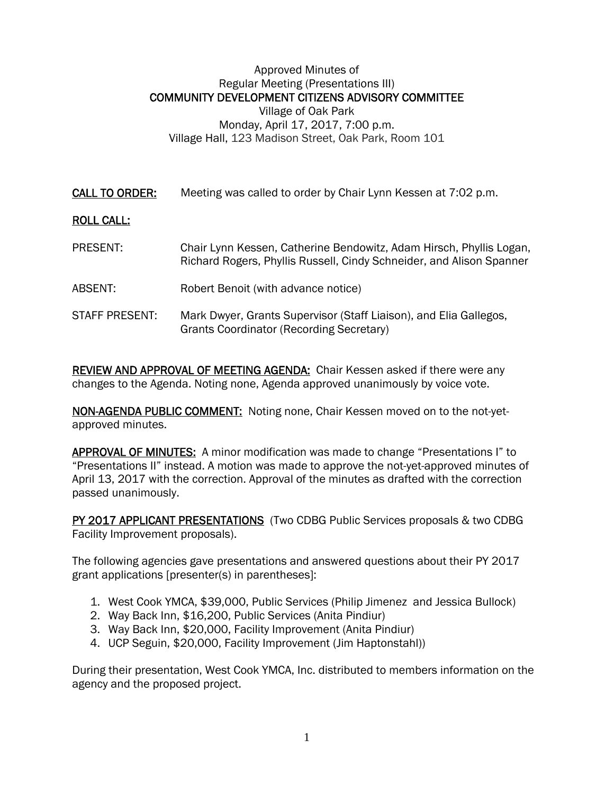## Approved Minutes of Regular Meeting (Presentations III) COMMUNITY DEVELOPMENT CITIZENS ADVISORY COMMITTEE Village of Oak Park Monday, April 17, 2017, 7:00 p.m. Village Hall, 123 Madison Street, Oak Park, Room 101

CALL TO ORDER: Meeting was called to order by Chair Lynn Kessen at 7:02 p.m.

## ROLL CALL:

- PRESENT: Chair Lynn Kessen, Catherine Bendowitz, Adam Hirsch, Phyllis Logan, Richard Rogers, Phyllis Russell, Cindy Schneider, and Alison Spanner
- ABSENT: Robert Benoit (with advance notice)
- STAFF PRESENT: Mark Dwyer, Grants Supervisor (Staff Liaison), and Elia Gallegos, Grants Coordinator (Recording Secretary)

REVIEW AND APPROVAL OF MEETING AGENDA: Chair Kessen asked if there were any changes to the Agenda. Noting none, Agenda approved unanimously by voice vote.

NON-AGENDA PUBLIC COMMENT: Noting none, Chair Kessen moved on to the not-yetapproved minutes.

APPROVAL OF MINUTES: A minor modification was made to change "Presentations I" to "Presentations II" instead. A motion was made to approve the not-yet-approved minutes of April 13, 2017 with the correction. Approval of the minutes as drafted with the correction passed unanimously.

PY 2017 APPLICANT PRESENTATIONS (Two CDBG Public Services proposals & two CDBG Facility Improvement proposals).

The following agencies gave presentations and answered questions about their PY 2017 grant applications [presenter(s) in parentheses]:

- 1. West Cook YMCA, \$39,000, Public Services (Philip Jimenez and Jessica Bullock)
- 2. Way Back Inn, \$16,200, Public Services (Anita Pindiur)
- 3. Way Back Inn, \$20,000, Facility Improvement (Anita Pindiur)
- 4. UCP Seguin, \$20,000, Facility Improvement (Jim Haptonstahl))

During their presentation, West Cook YMCA, Inc. distributed to members information on the agency and the proposed project.